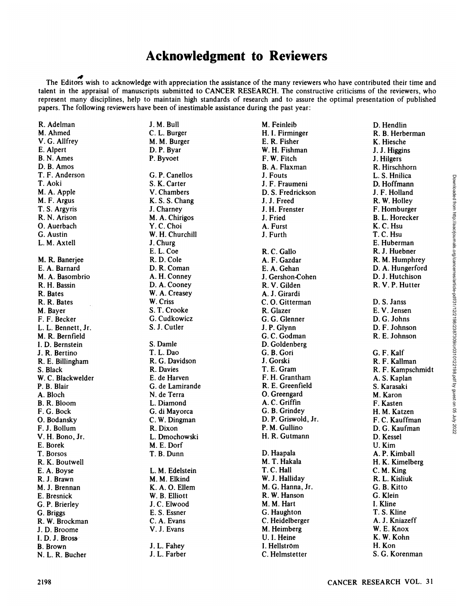## **Acknowledgment to Reviewers**

The Editors wish to acknowledge with appreciation the assistance of the many reviewers who have contributed their time and talent in the appraisal of manuscripts submitted to CANCER RESEARCH. The constructive criticisms of the reviewers, who represent many disciplines, help to maintain high standards of research and to assure the optimal presentation of published papers. The following reviewers have been of inestimable assistance during the past year:

| R. Adelman                      |
|---------------------------------|
| M. Ahmed                        |
| V. G. Allfrey                   |
| E. Alpert                       |
| B. N. Ames                      |
| D. B. Amos                      |
| T. F. Anderson                  |
| T. Aoki                         |
| M. A. Apple                     |
| M. F. Argus                     |
| T. S. Argyris                   |
| R. N. Arison                    |
| O. Auerbach                     |
| G. Austin                       |
| L. M. Axtell                    |
|                                 |
| M. R. Banerjee                  |
| E. A. Barnard                   |
| M. A. Basombrio                 |
| R. H. Bassin                    |
| R. Bates                        |
| R. R. Bates                     |
| M. Bayer                        |
| F. F. Becker                    |
| L. L. Bennett, Jr.              |
| M. R. Bernfield                 |
| I. D. Bernstein                 |
| J. R. Bertino                   |
| R. E. Billingham                |
| S. Black                        |
| W. C. Blackwelder               |
| P. B. Blair                     |
| A. Bloch                        |
| <b>B. R. Bloom</b>              |
| F. G. Bock                      |
| O. Bodansky                     |
|                                 |
| F. J. Bollum<br>V. H. Bono, Jr. |
| E. Borek                        |
| T. Borsos                       |
| R. K. Boutwell                  |
| E. A. Boyse                     |
| R. J. Brawn                     |
| M. J. Brennan                   |
| E. Bresnick                     |
| G. P. Brierley                  |
| G. Briggs                       |
| R. W. Brockman                  |
| J.D. Broome                     |
| I.D.J. Bross                    |
|                                 |
| <b>B.</b> Brown                 |

J.M.Bull C. L. Burger M. M. Burger D. P. Byar P. Byvoet G. P. Canellos S. K. Carter V. Chambers K. S. S. Chang J. Charney M. A. Chirigos Y.C.Choi W. H. Churchill J.Churg E. L. Coe R. D. Cole D. R. Coman A. H. Conney D. A. Cooney W. A. Creasey W. Criss S. T. Crooke G. Cudkowicz S. J. Cutler S. Damle T. L. Dao R. G. Davidson R. Davies E. de Harven G. de Lamirande N. de Terra L. Diamond G. di Mayorca C. W. Dingman R. Dixon L. Dmochowski M. E. Dorf T. B. Dünn L. M. Edelstein M. M. Elkind K. A. 0. Ellem W. B. Elliott J.C. Elwood E. S. Essner C. A. Evans V. J. Evans J. L. Fahey

J. L. Farber

M. Feinleib H. I. Firminger E. R. Fisher W. H. Fishman F. W. Pitch B. A. Flaxman J. Fouts J. F. Fraumeni D. S. Fredrickson J. J. Freed J. H. Frenster J. Fried A. Fürst J. Furth R. C. Gallo A. F. Gazdar E. A. Gehan J. Gershon-Cohen R. V. Gilden A. J. Girardi C. O. Gitterman R. Glazer G. G. Glenner J. P. Glynn G. C. Godman D. Goldenberg G. B. Gori J. Gorski T. E. Gram F. H. Grantham R. E. Greenfield 0. Greengard A. C. Griffin G. B. Grindey D. P. Griswold, Jr. P. M. Cullino H. R. Gutmann D. Haapala M. T. Hakala T. C. Hall W. J. Halliday M. G. Hanna, Jr. R. W. Hanson M. M. Hart G. Haughton C. Heidelberger M. Heimberg U. I. Heine 1.Hellström

C. Helmstetter

D. Hendlin R. B. Herberman K. Hiesche J. J. Higgins J. Hilgers R. Hirschhorn L. S. Hnilica D. Hoffmann J. F. Holland R. W. Holley F. Homburger B. L. Horecker K. C. Hsu T. C. Hsu E. Huberman R. J. Huebner R. M. Humphrey D. A. Hungerford D. J. Hutchison R. V. P. Hutter D. S. Janss E. V. Jensen D. G. Johns D. F. Johnson R. E. Johnson G. F. Kalf R. F. Kallman R. F. Kampschmidt A. S. Kaplan S. Karasaki M. Karon F. Kasten H. M. Katzen F. C. Kauffman D. G. Kaufman D. Kessel U.Kim A. P. Kimball H. K. Kimelberg C.M.King R. L. Kisliuk G. B. Kitto G. Klein I. Kline T. S. Kline A. J. Kniazeff W. E. Knox K. W. Kohn H.Kon S. G. Korenman 22. 2198 Cancer Cancer Cancer Cancer Cancer Cancer Cancer Cancer Cancer Cancer<br>
217. AACR/2018 K. S. Change J. J. Freedom J. J. Freedom J. J. Freedom J. J. Freedom J. C. Dennis<br>
21. A. A. A. A. S. Change J. J. Comes J. J.